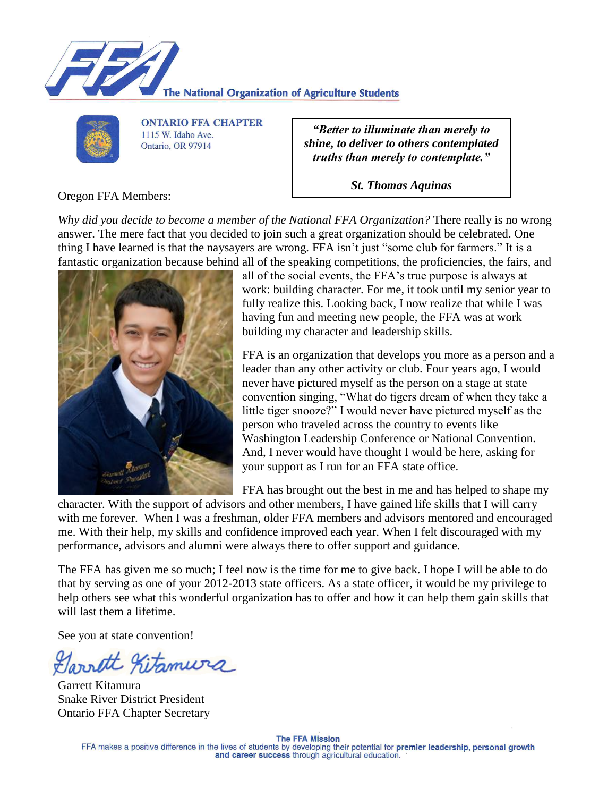



**ONTARIO FFA CHAPTER** 1115 W. Idaho Ave. Ontario, OR 97914

*"Better to illuminate than merely to shine, to deliver to others contemplated truths than merely to contemplate."*

*St. Thomas Aquinas*

Oregon FFA Members:

*Why did you decide to become a member of the National FFA Organization?* There really is no wrong answer. The mere fact that you decided to join such a great organization should be celebrated. One thing I have learned is that the naysayers are wrong. FFA isn't just "some club for farmers." It is a fantastic organization because behind all of the speaking competitions, the proficiencies, the fairs, and



all of the social events, the FFA's true purpose is always at work: building character. For me, it took until my senior year to fully realize this. Looking back, I now realize that while I was having fun and meeting new people, the FFA was at work building my character and leadership skills.

FFA is an organization that develops you more as a person and a leader than any other activity or club. Four years ago, I would never have pictured myself as the person on a stage at state convention singing, "What do tigers dream of when they take a little tiger snooze?" I would never have pictured myself as the person who traveled across the country to events like Washington Leadership Conference or National Convention. And, I never would have thought I would be here, asking for your support as I run for an FFA state office.

FFA has brought out the best in me and has helped to shape my

character. With the support of advisors and other members, I have gained life skills that I will carry with me forever. When I was a freshman, older FFA members and advisors mentored and encouraged me. With their help, my skills and confidence improved each year. When I felt discouraged with my performance, advisors and alumni were always there to offer support and guidance.

The FFA has given me so much; I feel now is the time for me to give back. I hope I will be able to do that by serving as one of your 2012-2013 state officers. As a state officer, it would be my privilege to help others see what this wonderful organization has to offer and how it can help them gain skills that will last them a lifetime.

See you at state convention!

Garrett Kitamura

Garrett Kitamura Snake River District President Ontario FFA Chapter Secretary